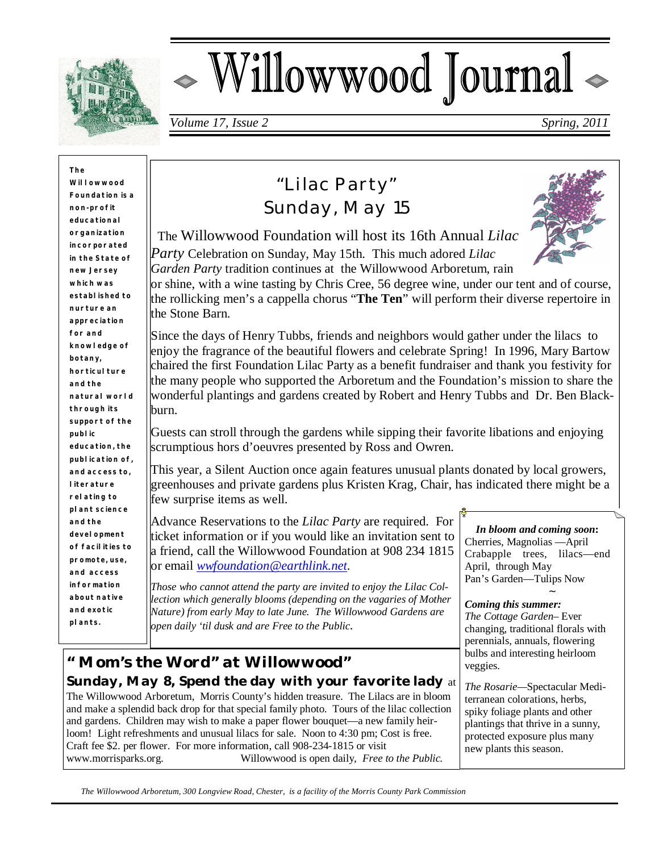

# Willowwood Journal

*Volume 17, Issue 2 Spring, 2011*

**The Willowwood Foundation is a non- profit educational organization incorporated in the State of new Jersey which was established to nurture an appreciation for and knowledge of botany, horticul** ture **and the natural world through its support of the public education, the publication of, and access to, literature relating to plant science and the development of facilities to promote, use, and access information about native and exotic plants.**

# *"Lilac Party" Sunday, May 15*



 The Willowwood Foundation will host its 16th Annual *Lilac Party* Celebration on Sunday, May 15th. This much adored *Lilac Garden Party* tradition continues at the Willowwood Arboretum, rain

or shine, with a wine tasting by Chris Cree, 56 degree wine, under our tent and of course, the rollicking men's a cappella chorus "**The Ten**" will perform their diverse repertoire in the Stone Barn.

Since the days of Henry Tubbs, friends and neighbors would gather under the lilacs to enjoy the fragrance of the beautiful flowers and celebrate Spring! In 1996, Mary Bartow chaired the first Foundation Lilac Party as a benefit fundraiser and thank you festivity for the many people who supported the Arboretum and the Foundation's mission to share the wonderful plantings and gardens created by Robert and Henry Tubbs and Dr. Ben Blackburn.

Guests can stroll through the gardens while sipping their favorite libations and enjoying scrumptious hors d'oeuvres presented by Ross and Owren.

This year, a Silent Auction once again features unusual plants donated by local growers, greenhouses and private gardens plus Kristen Krag, Chair, has indicated there might be a few surprise items as well.

Advance Reservations to the *Lilac Party* are required. For ticket information or if you would like an invitation sent to a friend, call the Willowwood Foundation at 908 234 1815 or email *wwfoundation@earthlink.net.*

*Those who cannot attend the party are invited to enjoy the Lilac Collection which generally blooms (depending on the vagaries of Mother Nature) from early May to late June. The Willowwood Gardens are open daily 'til dusk and are Free to the Public.*

## *" Mom's the Word" at Willowwood" Sunday, May 8, Spend the day with your favorite lady* at

The Willowwood Arboretum, Morris County's hidden treasure. The Lilacs are in bloom and make a splendid back drop for that special family photo. Tours of the lilac collection and gardens. Children may wish to make a paper flower bouquet—a new family heirloom! Light refreshments and unusual lilacs for sale. Noon to 4:30 pm; Cost is free. Craft fee \$2. per flower. For more information, call 908-234-1815 or visit www.morrisparks.org. Willowwood is open daily, *Free to the Public.*

*In bloom and coming soon***:** Cherries, Magnolias —April Crabapple trees, lilacs—end April, through May Pan's Garden—Tulips Now

#### $\sim$ *Coming this summer:*

*The Cottage Garden*– Ever changing, traditional florals with perennials, annuals, flowering bulbs and interesting heirloom veggies.

*The Rosarie—*Spectacular Mediterranean colorations, herbs, spiky foliage plants and other plantings that thrive in a sunny, protected exposure plus many new plants this season.

 *The Willowwood Arboretum, 300 Longview Road, Chester, is a facility of the Morris County Park Commission*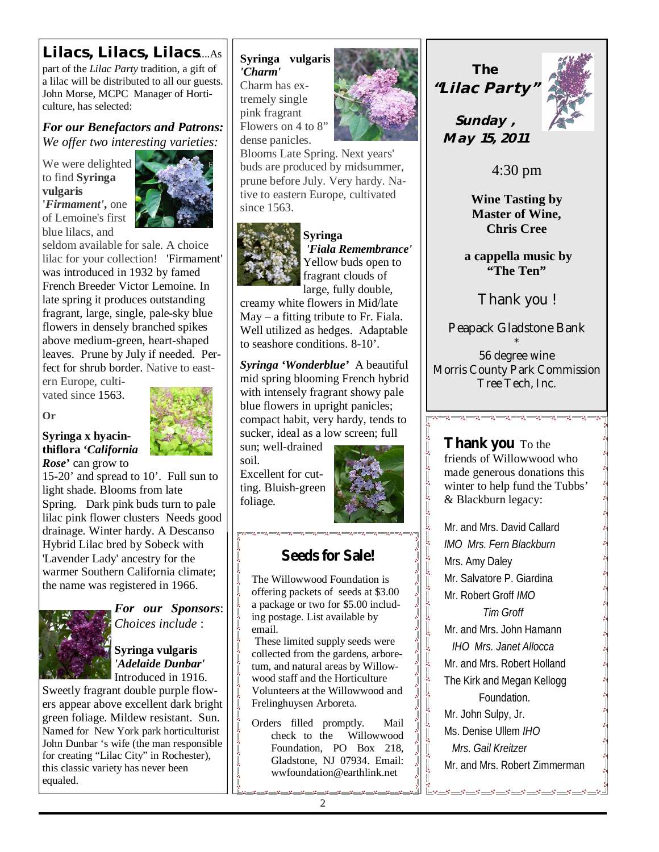## *Lilacs, Lilacs, Lilacs*....As

part of the *Lilac Party* tradition, a gift of a lilac will be distributed to all our guests. John Morse, MCPC Manager of Horticulture, has selected:

*For our Benefactors and Patrons: We offer two interesting varieties:*

We were delighted to find **Syringa vulgaris '***Firmament'***,** one of Lemoine's first blue lilacs, and



seldom available for sale. A choice lilac for your collection! 'Firmament' was introduced in 1932 by famed French Breeder Victor Lemoine. In late spring it produces outstanding fragrant, large, single, pale-sky blue flowers in densely branched spikes above medium-green, heart-shaped leaves. Prune by July if needed. Perfect for shrub border. Native to east-

ern Europe, cultivated since 1563.

**Or**



#### **Syringa x hyacinthiflora '***California Rose***'** can grow to

15-20' and spread to 10'. Full sun to light shade. Blooms from late Spring. Dark pink buds turn to pale lilac pink flower clusters Needs good drainage. Winter hardy. A Descanso Hybrid Lilac bred by Sobeck with 'Lavender Lady' ancestry for the warmer Southern California climate; the name was registered in 1966.



*For our Sponsors*: *Choices include* :

**Syringa vulgaris**  *'Adelaide Dunbar'*  Introduced in 1916.

Sweetly fragrant double purple flowers appear above excellent dark bright green foliage. Mildew resistant. Sun. Named for New York park horticulturist John Dunbar 's wife (the man responsible for creating "Lilac City" in Rochester), this classic variety has never been equaled.

## **Syringa vulgaris**  *'Charm'*

Charm has extremely single pink fragrant Flowers on 4 to 8" dense panicles.



Blooms Late Spring. Next years' buds are produced by midsummer, prune before July. Very hardy. Native to eastern Europe, cultivated since 1563.



#### **Syringa**

 *'Fiala Remembrance'*  Yellow buds open to fragrant clouds of large, fully double,

creamy white flowers in Mid/late May – a fitting tribute to Fr. Fiala. Well utilized as hedges. Adaptable to seashore conditions. 8-10'.

*Syringa 'Wonderblue'* A beautiful mid spring blooming French hybrid with intensely fragrant showy pale blue flowers in upright panicles; compact habit, very hardy, tends to sucker, ideal as a low screen; full

sun; well-drained soil.

Excellent for cutting. Bluish-green foliage.



 $\frac{3}{60} - \frac{3}{60} - \frac{3}{60} - \frac{3}{60}$ 

 $\frac{3}{6}$   $\frac{3}{6}$ 

 $\frac{1}{2}$ 

 $\sim$   $\sim$ 

।<br>∘°

 $\frac{8}{3}$   $\frac{8}{3}$ 

 $\frac{1}{2}$ 

 $\frac{8}{3}$ 

 $\ddot{\phantom{0}}$  $\frac{1}{2}$  $\frac{1}{2}$ 

 $\sim$   $\sim$ 

 $\overline{\phantom{0}}$ 

 $\frac{5}{2}$ 

## **Seeds for Sale!**

 $\sim$   $\sim$   $\sim$   $\sim$   $\sim$ 

The Willowwood Foundation is offering packets of seeds at \$3.00 a package or two for \$5.00 including postage. List available by email.

 These limited supply seeds were collected from the gardens, arboretum, and natural areas by Willowwood staff and the Horticulture Volunteers at the Willowwood and Frelinghuysen Arboreta.

Orders filled promptly. Mail check to the Willowwood Foundation, PO Box 218, Gladstone, NJ 07934. Email: wwfoundation@earthlink.net

'.

*The "Lilac Party"*



*Sunday , May 15, 2011*

4:30 pm

**Wine Tasting by Master of Wine, Chris Cree**

 **a cappella music by "The Ten"** 

*Thank you !* 

Peapack Gladstone Bank

\* 56 degree wine Morris County Park Commission Tree Tech, Inc.

▁<br>┌<mark>┌◈──°°──°°──°°──°°──°°──°°</mark>──°°<del>──°°</del>──°°<del>──°</del>°

**Thank you** To the friends of Willowwood who made generous donations this winter to help fund the Tubbs' & Blackburn legacy:

Mr. and Mrs. David Callard *IMO Mrs. Fern Blackburn* Mrs. Amy Daley Mr. Salvatore P. Giardina Mr. Robert Groff *IMO Tim Groff* Mr. and Mrs. John Hamann *IHO Mrs. Janet Allocca* Mr. and Mrs. Robert Holland The Kirk and Megan Kellogg Foundation. Mr. John Sulpy, Jr. Ms. Denise Ullem *IHO Mrs. Gail Kreitzer* Mr. and Mrs. Robert Zimmerman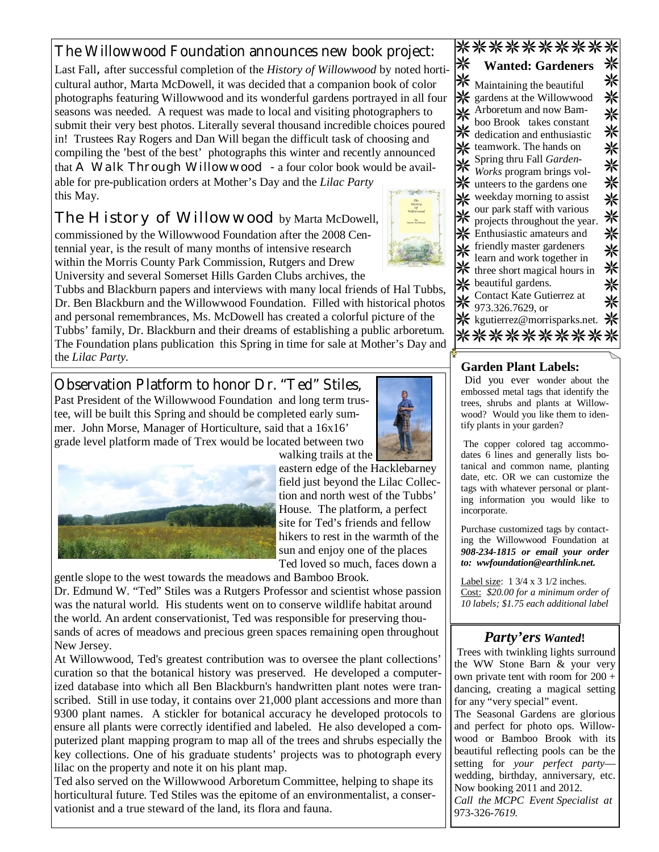## The Willowwood Foundation announces new book project:

Last Fall*,* after successful completion of the *History of Willowwood* by noted horticultural author, Marta McDowell, it was decided that a companion book of color photographs featuring Willowwood and its wonderful gardens portrayed in all four seasons was needed. A request was made to local and visiting photographers to submit their very best photos. Literally several thousand incredible choices poured in! Trustees Ray Rogers and Dan Will began the difficult task of choosing and compiling the 'best of the best' photographs this winter and recently announced that *A Walk Through Willowwood -* a four color book would be avail-

able for pre-publication orders at Mother's Day and the *Lilac Party*  this May.

*The History of Willowwood* by Marta McDowell, commissioned by the Willowwood Foundation after the 2008 Centennial year, is the result of many months of intensive research within the Morris County Park Commission, Rutgers and Drew University and several Somerset Hills Garden Clubs archives, the

Tubbs and Blackburn papers and interviews with many local friends of Hal Tubbs, Dr. Ben Blackburn and the Willowwood Foundation. Filled with historical photos and personal remembrances, Ms. McDowell has created a colorful picture of the Tubbs' family, Dr. Blackburn and their dreams of establishing a public arboretum. The Foundation plans publication this Spring in time for sale at Mother's Day and the *Lilac Party.*

Observation Platform to honor Dr. "Ted" Stiles, Past President of the Willowwood Foundation and long term trustee, will be built this Spring and should be completed early summer. John Morse, Manager of Horticulture, said that a 16x16' grade level platform made of Trex would be located between two



walking trails at the eastern edge of the Hacklebarney field just beyond the Lilac Collection and north west of the Tubbs' House. The platform, a perfect site for Ted's friends and fellow hikers to rest in the warmth of the sun and enjoy one of the places Ted loved so much, faces down a

gentle slope to the west towards the meadows and Bamboo Brook.

Dr. Edmund W. "Ted" Stiles was a Rutgers Professor and scientist whose passion was the natural world. His students went on to conserve wildlife habitat around the world. An ardent conservationist, Ted was responsible for preserving thousands of acres of meadows and precious green spaces remaining open throughout New Jersey.

At Willowwood, Ted's greatest contribution was to oversee the plant collections' curation so that the botanical history was preserved. He developed a computerized database into which all Ben Blackburn's handwritten plant notes were transcribed. Still in use today, it contains over 21,000 plant accessions and more than 9300 plant names. A stickler for botanical accuracy he developed protocols to ensure all plants were correctly identified and labeled. He also developed a computerized plant mapping program to map all of the trees and shrubs especially the key collections. One of his graduate students' projects was to photograph every lilac on the property and note it on his plant map.

Ted also served on the Willowwood Arboretum Committee, helping to shape its horticultural future. Ted Stiles was the epitome of an environmentalist, a conservationist and a true steward of the land, its flora and fauna.

|  | Maintaining the beautiful     |  |
|--|-------------------------------|--|
|  | gardens at the Willowwood     |  |
|  | Arboretum and now Bam-        |  |
|  | boo Brook takes constant      |  |
|  | dedication and enthusiastic   |  |
|  | teamwork. The hands on        |  |
|  | Spring thru Fall Garden-      |  |
|  | Works program brings vol-     |  |
|  | if unteers to the gardens one |  |
|  | weekday morning to assist     |  |
|  | our park staff with various   |  |
|  | projects throughout the year. |  |
|  | Enthusiastic amateurs and     |  |
|  | friendly master gardeners     |  |
|  | learn and work together in    |  |
|  | three short magical hours in  |  |
|  |                               |  |
|  | beautiful gardens.            |  |
|  | Contact Kate Gutierrez at     |  |
|  | 973.326.7629, or              |  |
|  | : kgutierrez@morrisparks.net. |  |
|  |                               |  |

**Wanted: Gardeners**

米

\*\*\*\*\*\*\*\*\*\*

\*\*\*\*\*\*\*\*\*\*

#### **Garden Plant Labels:**

Did you ever wonder about the embossed metal tags that identify the trees, shrubs and plants at Willowwood? Would you like them to identify plants in your garden?

 The copper colored tag accommodates 6 lines and generally lists botanical and common name, planting date, etc. OR we can customize the tags with whatever personal or planting information you would like to incorporate.

Purchase customized tags by contacting the Willowwood Foundation at *908-234-1815 or email your order to: wwfoundation@earthlink.net.*

Label size: 1 3/4 x 3 1/2 inches. Cost: *\$20.00 for a minimum order of 10 labels; \$1.75 each additional label*

#### *Party'ers Wanted***!**

 Trees with twinkling lights surround the WW Stone Barn & your very own private tent with room for 200 + dancing, creating a magical setting for any "very special" event.

The Seasonal Gardens are glorious and perfect for photo ops. Willowwood or Bamboo Brook with its beautiful reflecting pools can be the setting for *your perfect party* wedding, birthday, anniversary, etc. Now booking 2011 and 2012. *Call the MCPC Event Specialist at*  973-326-*7619.*